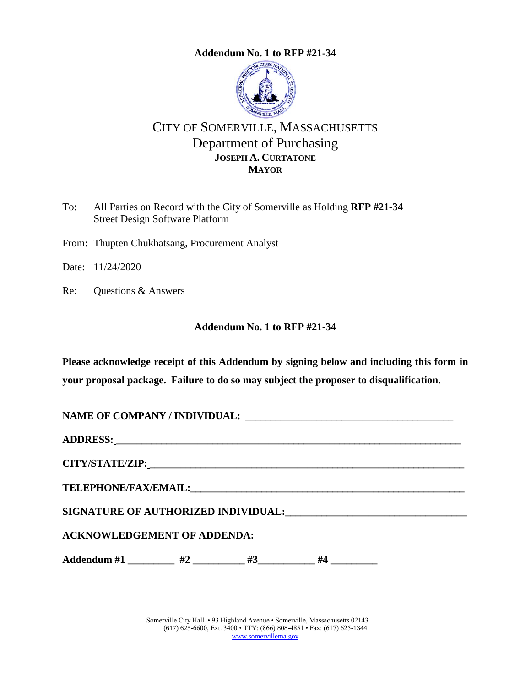## **Addendum No. 1 to RFP [#21-34](#page-0-0)**

<span id="page-0-0"></span>

# CITY OF SOMERVILLE, MASSACHUSETTS Department of Purchasing **JOSEPH A. CURTATONE MAYOR**

To: All Parties on Record with the City of Somerville as Holding **RFP #21-34** Street Design Software Platform

From: Thupten Chukhatsang, Procurement Analyst

Date: 11/24/2020

Re: Questions & Answers

## **Addendum No. 1 to RFP [#21-34](#page-0-0)**

**Please acknowledge receipt of this Addendum by signing below and including this form in your proposal package. Failure to do so may subject the proposer to disqualification.**

NAME OF COMPANY / INDIVIDUAL:

**ADDRESS: \_\_\_\_\_\_\_\_\_\_\_\_\_\_\_\_\_\_\_\_\_\_\_\_\_\_\_\_\_\_\_\_\_\_\_\_\_\_\_\_\_\_\_\_\_\_\_\_\_\_\_\_\_\_\_\_\_\_\_\_\_\_\_\_\_\_\_\_**

**CITY/STATE/ZIP: \_\_\_\_\_\_\_\_\_\_\_\_\_\_\_\_\_\_\_\_\_\_\_\_\_\_\_\_\_\_\_\_\_\_\_\_\_\_\_\_\_\_\_\_\_\_\_\_\_\_\_\_\_\_\_\_\_\_\_\_\_\_**

 $\bf{TELEPHONE/FAX/EMAIL:}$ 

**SIGNATURE OF AUTHORIZED INDIVIDUAL:\_\_\_\_\_\_\_\_\_\_\_\_\_\_\_\_\_\_\_\_\_\_\_\_\_\_\_\_\_\_\_\_\_\_\_**

**ACKNOWLEDGEMENT OF ADDENDA:**

Addendum #1 \_\_\_\_\_\_\_\_\_ #2 \_\_\_\_\_\_\_\_\_ #3 \_\_\_\_\_\_\_\_ #4 \_

Somerville City Hall • 93 Highland Avenue • Somerville, Massachusetts 02143 (617) 625-6600, Ext. 3400 • TTY: (866) 808-4851 • Fax: (617) 625-1344 [www.somervillema.gov](http://www.somervillema.gov/)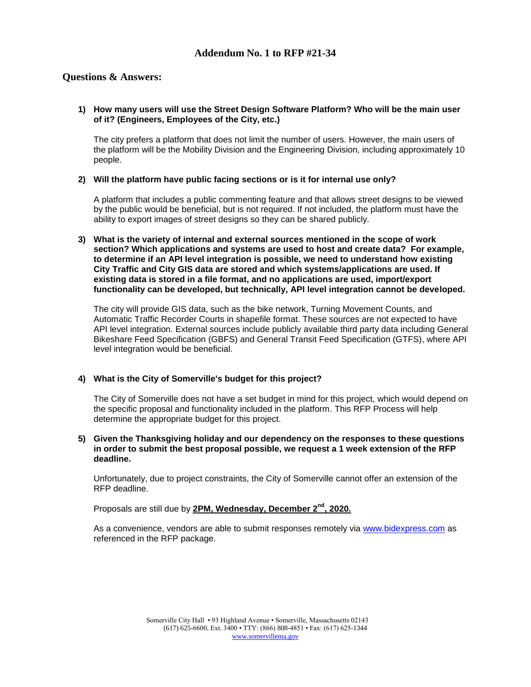### **Questions & Answers:**

#### **1) How many users will use the Street Design Software Platform? Who will be the main user of it? (Engineers, Employees of the City, etc.)**

The city prefers a platform that does not limit the number of users. However, the main users of the platform will be the Mobility Division and the Engineering Division, including approximately 10 people.

#### **2) Will the platform have public facing sections or is it for internal use only?**

A platform that includes a public commenting feature and that allows street designs to be viewed by the public would be beneficial, but is not required. If not included, the platform must have the ability to export images of street designs so they can be shared publicly.

**3) What is the variety of internal and external sources mentioned in the scope of work section? Which applications and systems are used to host and create data? For example, to determine if an API level integration is possible, we need to understand how existing City Traffic and City GIS data are stored and which systems/applications are used. If existing data is stored in a file format, and no applications are used, import/export functionality can be developed, but technically, API level integration cannot be developed.**

The city will provide GIS data, such as the bike network, Turning Movement Counts, and Automatic Traffic Recorder Courts in shapefile format. These sources are not expected to have API level integration. External sources include publicly available third party data including General Bikeshare Feed Specification (GBFS) and General Transit Feed Specification (GTFS), where API level integration would be beneficial.

#### **4) What is the City of Somerville's budget for this project?**

The City of Somerville does not have a set budget in mind for this project, which would depend on the specific proposal and functionality included in the platform. This RFP Process will help determine the appropriate budget for this project.

#### **5) Given the Thanksgiving holiday and our dependency on the responses to these questions in order to submit the best proposal possible, we request a 1 week extension of the RFP deadline.**

Unfortunately, due to project constraints, the City of Somerville cannot offer an extension of the RFP deadline.

Proposals are still due by **2PM, Wednesday, December 2nd, 2020.**

As a convenience, vendors are able to submit responses remotely via [www.bidexpress.com](http://www.bidexpress.com/) as referenced in the RFP package.